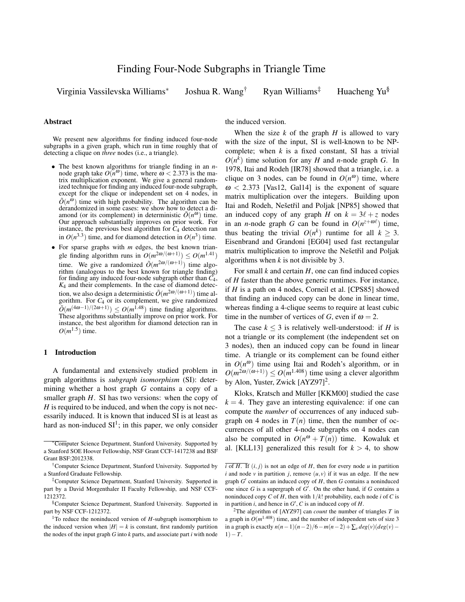Virginia Vassilevska Williams<sup>∗</sup>

Joshua R. Wang<sup>†</sup> Ryan Williams<sup>‡</sup> Huacheng Yu<sup>§</sup>

#### Abstract

We present new algorithms for finding induced four-node subgraphs in a given graph, which run in time roughly that of detecting a clique on *three* nodes (i.e., a triangle).

- The best known algorithms for triangle finding in an *n*node graph take  $O(n^{\omega})$  time, where  $\omega < 2.373$  is the matrix multiplication exponent. We give a general randomized technique for finding any induced four-node subgraph, except for the clique or independent set on 4 nodes, in  $\tilde{O}(n^{\tilde{\omega}})$  time with high probability. The algorithm can be derandomized in some cases: we show how to detect a diamond (or its complement) in deterministic  $\tilde{O}(n^{\omega})$  time. Our approach substantially improves on prior work. For instance, the previous best algorithm for *C*<sup>4</sup> detection ran in  $O(n^{3.3})$  time, and for diamond detection in  $O(n^3)$  time.
- For sparse graphs with *m* edges, the best known triangle finding algorithm runs in  $O(m^{2\omega/(\omega+1)}) \leq O(m^{1.41})$ time. We give a randomized  $\tilde{O}(m^{2\omega/(\omega+1)})$  time algorithm (analogous to the best known for triangle finding) for finding any induced four-node subgraph other than *C*4,  $K_4$  and their complements. In the case of diamond detection, we also design a deterministic  $\tilde{O}(m^{2\omega/(\omega+1)})$  time algorithm. For  $C_4$  or its complement, we give randomized  $\tilde{O}(m^{(4\omega-1)/(2\omega+1)}) \leq O(m^{1.48})$  time finding algorithms. These algorithms substantially improve on prior work. For instance, the best algorithm for diamond detection ran in  $O(m^{1.5})$  time.

## 1 Introduction

A fundamental and extensively studied problem in graph algorithms is *subgraph isomorphism* (SI): determining whether a host graph *G* contains a copy of a smaller graph *H*. SI has two versions: when the copy of *H* is required to be induced, and when the copy is not necessarily induced. It is known that induced SI is at least as hard as non-induced  $SI<sup>1</sup>$ ; in this paper, we only consider

the induced version.

When the size  $k$  of the graph  $H$  is allowed to vary with the size of the input, SI is well-known to be NPcomplete; when  $k$  is a fixed constant, SI has a trivial  $O(n^k)$  time solution for any *H* and *n*-node graph *G*. In 1978, Itai and Rodeh [IR78] showed that a triangle, i.e. a clique on 3 nodes, can be found in  $O(n^{\omega})$  time, where  $\omega$  < 2.373 [Vas12, Gal14] is the exponent of square matrix multiplication over the integers. Building upon Itai and Rodeh, Nešetřil and Poljak [NP85] showed that an induced copy of any graph *H* on  $k = 3\ell + z$  nodes in an *n*-node graph *G* can be found in  $O(n^{z + \omega \ell})$  time, thus beating the trivial  $O(n^k)$  runtime for all  $k \geq 3$ . Eisenbrand and Grandoni [EG04] used fast rectangular matrix multiplication to improve the Nešetřil and Poljak algorithms when *k* is not divisible by 3.

For small *k* and certain *H*, one can find induced copies of *H* faster than the above generic runtimes. For instance, if *H* is a path on 4 nodes, Corneil et al. [CPS85] showed that finding an induced copy can be done in linear time, whereas finding a 4-clique seems to require at least cubic time in the number of vertices of *G*, even if  $\omega = 2$ .

The case  $k \leq 3$  is relatively well-understood: if *H* is not a triangle or its complement (the independent set on 3 nodes), then an induced copy can be found in linear time. A triangle or its complement can be found either in  $O(n^{\omega})$  time using Itai and Rodeh's algorithm, or in  $O(m^{2\omega/(\omega+1)}) \leq O(m^{1.408})$  time using a clever algorithm by Alon, Yuster, Zwick [AYZ97]<sup>2</sup>.

Kloks, Kratsch and Müller [KKM00] studied the case  $k = 4$ . They gave an interesting equivalence: if one can compute the *number* of occurrences of any induced subgraph on 4 nodes in  $T(n)$  time, then the number of occurrences of all other 4-node subgraphs on 4 nodes can also be computed in  $O(n^{\omega} + T(n))$  time. Kowaluk et al. [KLL13] generalized this result for  $k > 4$ , to show

<sup>∗</sup>Computer Science Department, Stanford University. Supported by a Stanford SOE Hoover Fellowship, NSF Grant CCF-1417238 and BSF Grant BSF:2012338.

<sup>†</sup>Computer Science Department, Stanford University. Supported by a Stanford Graduate Fellowship.

<sup>‡</sup>Computer Science Department, Stanford University. Supported in part by a David Morgenthaler II Faculty Fellowship, and NSF CCF-1212372.

<sup>§</sup>Computer Science Department, Stanford University. Supported in part by NSF CCF-1212372.

<sup>1</sup>To reduce the noninduced version of *H*-subgraph isomorphism to the induced version when  $|H| = k$  is constant, first randomly partition the nodes of the input graph *G* into *k* parts, and associate part *i* with node

 $\overline{i}$  of *H*. If  $(i, j)$  is not an edge of *H*, then for every node *u* in partition *i* and node *v* in partition *j*, remove  $(u, v)$  if it was an edge. If the new graph  $G'$  contains an induced copy of  $H$ , then  $G$  contains a noninduced one since  $G$  is a supergraph of  $G'$ . On the other hand, if  $G$  contains a noninduced copy *C* of *H*, then with  $1/k!$  probability, each node *i* of *C* is in partition  $i$ , and hence in  $G'$ ,  $C$  is an induced copy of  $H$ .

<sup>&</sup>lt;sup>2</sup>The algorithm of [AYZ97] can *count* the number of triangles  $T$  in a graph in  $O(m^{1.408})$  time, and the number of independent sets of size 3 in a graph is exactly *n*(*n*−1)(*n*−2)/6−*m*(*n*−2)+∑*<sup>v</sup> deg*(*v*)(*deg*(*v*)−  $1) - T$ .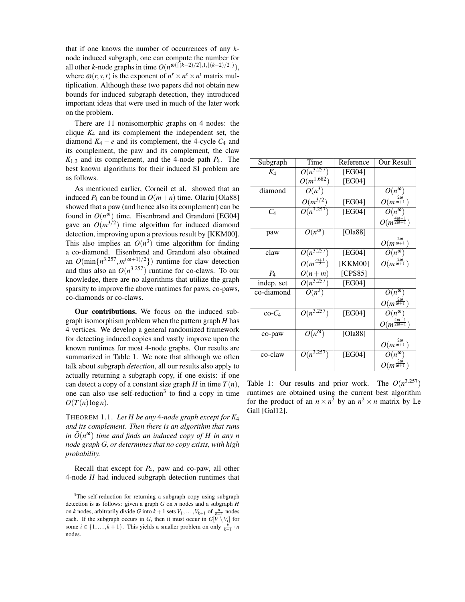that if one knows the number of occurrences of any *k*node induced subgraph, one can compute the number for all other *k*-node graphs in time  $O(n^{\omega(\lceil (k-2)/2 \rceil,1,\lfloor (k-2)/2 \rfloor)}),$ where  $\omega(r, s, t)$  is the exponent of  $n^r \times n^s \times n^t$  matrix multiplication. Although these two papers did not obtain new bounds for induced subgraph detection, they introduced important ideas that were used in much of the later work on the problem.

There are 11 nonisomorphic graphs on 4 nodes: the clique  $K_4$  and its complement the independent set, the diamond  $K_4 - e$  and its complement, the 4-cycle  $C_4$  and its complement, the paw and its complement, the claw  $K_{1,3}$  and its complement, and the 4-node path  $P_4$ . The best known algorithms for their induced SI problem are as follows.

As mentioned earlier, Corneil et al. showed that an induced  $P_4$  can be found in  $O(m+n)$  time. Olariu [Ola88] showed that a paw (and hence also its complement) can be found in  $O(n^{\omega})$  time. Eisenbrand and Grandoni [EG04] gave an  $O(m^{3/2})$  time algorithm for induced diamond detection, improving upon a previous result by [KKM00]. This also implies an  $O(n^3)$  time algorithm for finding a co-diamond. Eisenbrand and Grandoni also obtained an  $O(\min\{n^{3.257}, m^{(\omega+1)/2}\})$  runtime for claw detection and thus also an  $O(n^{3.257})$  runtime for co-claws. To our knowledge, there are no algorithms that utilize the graph sparsity to improve the above runtimes for paws, co-paws, co-diamonds or co-claws.

Our contributions. We focus on the induced subgraph isomorphism problem when the pattern graph *H* has 4 vertices. We develop a general randomized framework for detecting induced copies and vastly improve upon the known runtimes for most 4-node graphs. Our results are summarized in Table 1. We note that although we often talk about subgraph *detection*, all our results also apply to actually returning a subgraph copy, if one exists: if one can detect a copy of a constant size graph *H* in time  $T(n)$ , one can also use self-reduction<sup>3</sup> to find a copy in time  $O(T(n)\log n)$ .

THEOREM 1.1. *Let H be any* 4*-node graph except for K*<sup>4</sup> *and its complement. Then there is an algorithm that runs in*  $\tilde{O}(n^{\omega})$  *time and finds an induced copy of H in any n node graph G, or determines that no copy exists, with high probability.*

Recall that except for *P*4, paw and co-paw, all other 4-node *H* had induced subgraph detection runtimes that

| Subgraph   | Time                        | Reference | Our Result                           |
|------------|-----------------------------|-----------|--------------------------------------|
| $K_4$      | $O(n^{3.257})$              | [EG04]    |                                      |
|            | $O(m^{1.682})$              | [EG04]    |                                      |
| diamond    | $O(n^3)$                    |           | $O(n^{\omega})$                      |
|            | $O(m^{3/2})$                | [EG04]    | $O(m^{\frac{2\omega}{\omega+1}})$    |
| $C_4$      | $O(n^{3.257})$              | [EG04]    | $\overline{O(n^{\omega})}$           |
|            |                             |           | $O(m^{\frac{4\omega-1}{2\omega+1}})$ |
| paw        | $\overline{O(n^{\omega})}$  | [Ola88]   |                                      |
|            |                             |           | $O(m^{\frac{2\omega}{\omega+1}})$    |
| claw       | $O(n^{3.257})$              | [EG04]    | $\overline{O(n^{\omega})}$           |
|            | $O(m^{\frac{\omega+1}{2}})$ | [KKM00]   | $O(m^{\frac{2\omega}{\omega+1}})$    |
| $P_4$      | $O(n+m)$                    | [CPS85]   |                                      |
| indep. set | $O(n^{3.257})$              | [EG04]    |                                      |
| co-diamond | $O(n^3)$                    |           | $O(n^{\omega})$                      |
|            |                             |           | $O(m^{\frac{2\omega}{\omega+1}})$    |
| $\cos C_4$ | $O(n^{3.257})$              | [EG04]    | $\overline{O(n^{\omega})}$           |
|            |                             |           | $O(m^{\frac{4\omega-1}{2\omega+1}})$ |
| co-paw     | $O(n^{\omega})$             | [Ola88]   |                                      |
|            |                             |           | $O(m^{\frac{2\omega}{\omega+1}})$    |
| co-claw    | $O(n^{3.257})$              | [EG04]    | $O(n^{\omega})$                      |
|            |                             |           | $O(m^{\frac{2\omega}{\omega+1}})$    |

Table 1: Our results and prior work. The  $O(n^{3.257})$ runtimes are obtained using the current best algorithm for the product of an  $n \times n^2$  by an  $n^2 \times n$  matrix by Le Gall [Gal12].

 $\frac{3}{10}$  self-reduction for returning a subgraph copy using subgraph detection is as follows: given a graph *G* on *n* nodes and a subgraph *H* on *k* nodes, arbitrarily divide *G* into  $k+1$  sets  $V_1, \ldots, V_{k+1}$  of  $\frac{n}{k+1}$  nodes each. If the subgraph occurs in *G*, then it must occur in  $G[V \setminus V_i]$  for some  $i \in \{1, \ldots, k+1\}$ . This yields a smaller problem on only  $\frac{k}{k+1} \cdot n$ nodes.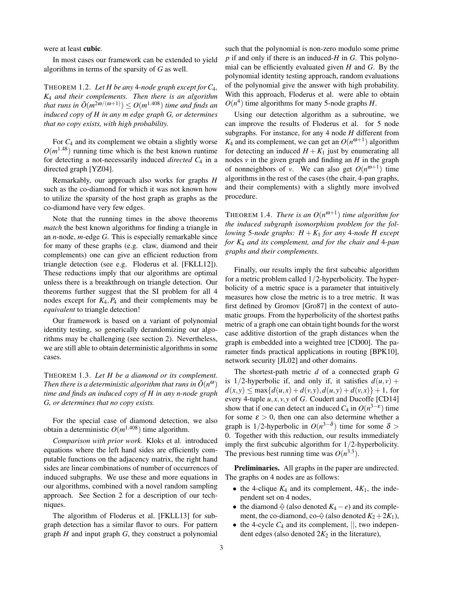were at least cubic.

In most cases our framework can be extended to yield algorithms in terms of the sparsity of *G* as well.

THEOREM 1.2. *Let H be any* 4*-node graph except for C*4*, K*<sup>4</sup> *and their complements. Then there is an algorithm that runs in*  $\tilde{O}(m^{2\bar{\omega}/(\omega+1)}) \leq O(m^{1.408})$  *time and finds an induced copy of H in any m edge graph G, or determines that no copy exists, with high probability.*

For *C*<sup>4</sup> and its complement we obtain a slightly worse  $O(m^{1.48})$  running time which is the best known runtime for detecting a not-necessarily induced *directed C*<sup>4</sup> in a directed graph [YZ04].

Remarkably, our approach also works for graphs *H* such as the co-diamond for which it was not known how to utilize the sparsity of the host graph as graphs as the co-diamond have very few edges.

Note that the running times in the above theorems *match* the best known algorithms for finding a triangle in an *n*-node, *m*-edge *G*. This is especially remarkable since for many of these graphs (e.g. claw, diamond and their complements) one can give an efficient reduction from triangle detection (see e.g. Floderus et al. [FKLL12]). These reductions imply that our algorithms are optimal unless there is a breakthrough on triangle detection. Our theorems further suggest that the SI problem for all 4 nodes except for  $K_4$ ,  $P_4$  and their complements may be *equivalent* to triangle detection!

Our framework is based on a variant of polynomial identity testing, so generically derandomizing our algorithms may be challenging (see section 2). Nevertheless, we are still able to obtain deterministic algorithms in some cases.

THEOREM 1.3. *Let H be a diamond or its complement. Then there is a deterministic algorithm that runs in*  $\tilde{O}(n^{\omega})$ *time and finds an induced copy of H in any n-node graph G, or determines that no copy exists.*

For the special case of diamond detection, we also obtain a deterministic  $O(m^{1.408})$  time algorithm.

*Comparison with prior work.* Kloks et al. introduced equations where the left hand sides are efficiently computable functions on the adjacency matrix, the right hand sides are linear combinations of number of occurrences of induced subgraphs. We use these and more equations in our algorithms, combined with a novel random sampling approach. See Section 2 for a description of our techniques.

The algorithm of Floderus et al. [FKLL13] for subgraph detection has a similar flavor to ours. For pattern graph *H* and input graph *G*, they construct a polynomial such that the polynomial is non-zero modulo some prime *p* if and only if there is an induced-*H* in *G*. This polynomial can be efficiently evaluated given *H* and *G*. By the polynomial identity testing approach, random evaluations of the polynomial give the answer with high probability. With this approach, Floderus et al. were able to obtain  $O(n^4)$  time algorithms for many 5-node graphs *H*.

Using our detection algorithm as a subroutine, we can improve the results of Floderus et al. for 5 node subgraphs. For instance, for any 4 node *H* different from  $K_4$  and its complement, we can get an  $O(n^{\omega+1})$  algorithm for detecting an induced  $H + K_1$  just by enumerating all nodes  $\nu$  in the given graph and finding an  $H$  in the graph of nonneighbors of *v*. We can also get  $O(n^{\omega+1})$  time algorithms in the rest of the cases (the chair, 4-pan graphs, and their complements) with a slightly more involved procedure.

THEOREM 1.4. *There is an*  $O(n^{\omega+1})$  *time algorithm for the induced subgraph isomorphism problem for the following* 5*-node graphs:*  $H + K_1$  *for any* 4*-node*  $H$  *except for K*<sup>4</sup> *and its complement, and for the chair and* 4*-pan graphs and their complements.*

Finally, our results imply the first subcubic algorithm for a metric problem called 1/2-hyperbolicity. The hyperbolicity of a metric space is a parameter that intuitively measures how close the metric is to a tree metric. It was first defined by Gromov [Gro87] in the context of automatic groups. From the hyperbolicity of the shortest paths metric of a graph one can obtain tight bounds for the worst case additive distortion of the graph distances when the graph is embedded into a weighted tree [CD00]. The parameter finds practical applications in routing [BPK10], network security [JL02] and other domains.

The shortest-path metric *d* of a connected graph *G* is 1/2-hyperbolic if, and only if, it satisfies  $d(u, v)$  +  $d(x, y) \le \max\{d(u, x) + d(v, y), d(u, y) + d(v, x)\} + 1$ , for every 4-tuple  $u, x, v, y$  of *G*. Coudert and Ducoffe [CD14] show that if one can detect an induced  $C_4$  in  $O(n^{3-\epsilon})$  time for some  $\varepsilon > 0$ , then one can also determine whether a graph is 1/2-hyperbolic in  $O(n^{3-\delta})$  time for some  $\delta$  > 0. Together with this reduction, our results immediately imply the first subcubic algorithm for 1/2-hyperbolicity. The previous best running time was  $O(n^{3.3})$ .

Preliminaries. All graphs in the paper are undirected. The graphs on 4 nodes are as follows:

- the 4-clique  $K_4$  and its complement,  $4K_1$ , the independent set on 4 nodes,
- the diamond  $\Diamond$  (also denoted  $K_4 e$ ) and its complement, the co-diamond, co- $\Diamond$  (also denoted  $K_2 + 2K_1$ ),
- the 4-cycle  $C_4$  and its complement,  $||$ , two independent edges (also denoted  $2K_2$  in the literature),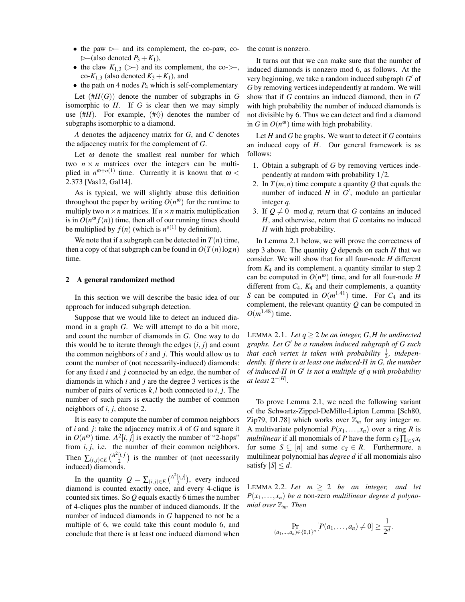- the paw  $\triangleright$  and its complement, the co-paw, co- $\triangleright$  (also denoted  $P_3 + K_1$ ),
- the claw  $K_{1,3}$  (>−) and its complement, the co->−, co- $K_{1,3}$  (also denoted  $K_3 + K_1$ ), and
- $\bullet$  the path on 4 nodes  $P_4$  which is self-complementary

Let  $(HH(G))$  denote the number of subgraphs in *G* isomorphic to *H*. If *G* is clear then we may simply use  $(HH)$ . For example,  $(H\varphi)$  denotes the number of subgraphs isomorphic to a diamond.

*A* denotes the adjacency matrix for *G*, and *C* denotes the adjacency matrix for the complement of *G*.

Let  $\omega$  denote the smallest real number for which two  $n \times n$  matrices over the integers can be multiplied in  $n^{\omega+o(1)}$  time. Currently it is known that  $\omega$  < 2.373 [Vas12, Gal14].

As is typical, we will slightly abuse this definition throughout the paper by writing  $O(n^{\omega})$  for the runtime to multiply two  $n \times n$  matrices. If  $n \times n$  matrix multiplication is in  $O(n^{\omega} f(n))$  time, then all of our running times should be multiplied by  $f(n)$  (which is  $n^{o(1)}$  by definition).

We note that if a subgraph can be detected in  $T(n)$  time, then a copy of that subgraph can be found in  $O(T(n)\log n)$ time.

## 2 A general randomized method

In this section we will describe the basic idea of our approach for induced subgraph detection.

Suppose that we would like to detect an induced diamond in a graph *G*. We will attempt to do a bit more, and count the number of diamonds in *G*. One way to do this would be to iterate through the edges  $(i, j)$  and count the common neighbors of *i* and *j*. This would allow us to count the number of (not necessarily-induced) diamonds: for any fixed *i* and *j* connected by an edge, the number of diamonds in which *i* and *j* are the degree 3 vertices is the number of pairs of vertices *k*,*l* both connected to *i*, *j*. The number of such pairs is exactly the number of common neighbors of *i*, *j*, choose 2.

It is easy to compute the number of common neighbors of *i* and *j*: take the adjacency matrix *A* of *G* and square it in  $O(n^{\omega})$  time.  $A^2[i, j]$  is exactly the number of "2-hops" from  $i, j$ , i.e. the number of their common neighbors. Then  $\sum_{(i,j)\in E} {A^2[i,j] \choose 2}$  $\binom{[i,j]}{2}$  is the number of (not necessarily induced) diamonds.

In the quantity  $Q = \sum_{(i,j) \in E} {A^2[i,j] \choose 2}$  $\binom{[i,j]}{2}$ , every induced diamond is counted exactly once, and every 4-clique is counted six times. So *Q* equals exactly 6 times the number of 4-cliques plus the number of induced diamonds. If the number of induced diamonds in *G* happened to not be a multiple of 6, we could take this count modulo 6, and conclude that there is at least one induced diamond when

the count is nonzero.

It turns out that we can make sure that the number of induced diamonds is nonzero mod 6, as follows. At the very beginning, we take a random induced subgraph  $G'$  of *G* by removing vertices independently at random. We will show that if *G* contains an induced diamond, then in *G* 0 with high probability the number of induced diamonds is not divisible by 6. Thus we can detect and find a diamond in *G* in  $O(n^{\omega})$  time with high probability.

Let *H* and *G* be graphs. We want to detect if *G* contains an induced copy of *H*. Our general framework is as follows:

- 1. Obtain a subgraph of *G* by removing vertices independently at random with probability 1/2.
- 2. In  $T(m, n)$  time compute a quantity Q that equals the number of induced  $H$  in  $G'$ , modulo an particular integer *q*.
- 3. If  $Q \neq 0 \mod q$ , return that *G* contains an induced *H*, and otherwise, return that *G* contains no induced *H* with high probability.

In Lemma 2.1 below, we will prove the correctness of step 3 above. The quantity *Q* depends on each *H* that we consider. We will show that for all four-node *H* different from  $K_4$  and its complement, a quantity similar to step 2 can be computed in  $O(n^{\omega})$  time, and for all four-node *H* different from *C*4, *K*<sup>4</sup> and their complements, a quantity *S* can be computed in  $O(m^{1.41})$  time. For  $C_4$  and its complement, the relevant quantity *Q* can be computed in  $O(m^{1.48})$  time.

LEMMA 2.1. Let  $q \geq 2$  be an integer, G, H be undirected *graphs. Let G*<sup>0</sup> *be a random induced subgraph of G such that each vertex is taken with probability*  $\frac{1}{2}$ *, independently. If there is at least one induced-H in G, the number of induced-H in G*<sup>0</sup> *is not a multiple of q with probability*  $at$  least  $2^{-|H|}$ .

To prove Lemma 2.1, we need the following variant of the Schwartz-Zippel-DeMillo-Lipton Lemma [Sch80, Zip79, DL78] which works over  $\mathbb{Z}_m$  for any integer *m*. A multivariate polynomial  $P(x_1,...,x_n)$  over a ring R is *multilinear* if all monomials of *P* have the form  $c_S \prod_{i \in S} x_i$ for some  $S \subseteq [n]$  and some  $c_S \in R$ . Furthermore, a multilinear polynomial has *degree d* if all monomials also satisfy  $|S| \leq d$ .

LEMMA 2.2. Let  $m \geq 2$  be an integer, and let  $P(x_1, \ldots, x_n)$  *be a* non-zero *multilinear degree d polynomial over* Z*m. Then*

$$
\Pr_{(a_1,...,a_n)\in\{0,1\}^n}[P(a_1,\ldots,a_n)\neq 0]\geq \frac{1}{2^d}.
$$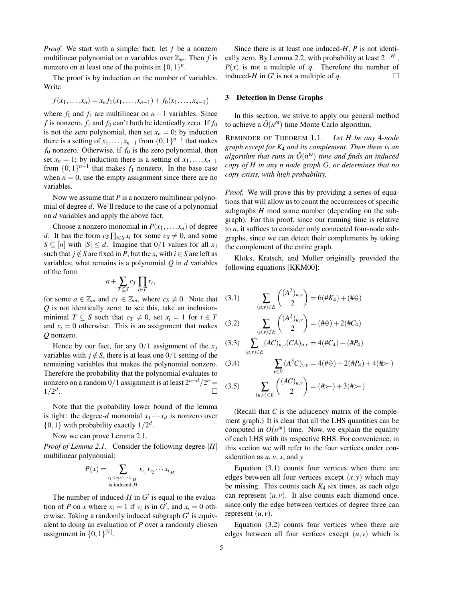*Proof.* We start with a simpler fact: let *f* be a nonzero multilinear polynomial on *n* variables over  $\mathbb{Z}_m$ . Then *f* is nonzero on at least one of the points in  $\{0,1\}^n$ .

The proof is by induction on the number of variables. Write

$$
f(x_1,...,x_n) = x_n f_1(x_1,...,x_{n-1}) + f_0(x_1,...,x_{n-1})
$$

where  $f_0$  and  $f_1$  are multilinear on  $n-1$  variables. Since  $f$  is nonzero,  $f_1$  and  $f_0$  can't both be identically zero. If  $f_0$ is not the zero polynomial, then set  $x_n = 0$ ; by induction there is a setting of  $x_1, \ldots, x_{n-1}$  from  $\{0, 1\}^{n-1}$  that makes  $f_0$  nonzero. Otherwise, if  $f_0$  is the zero polynomial, then set  $x_n = 1$ ; by induction there is a setting of  $x_1, \ldots, x_{n-1}$ from  $\{0,1\}^{n-1}$  that makes  $f_1$  nonzero. In the base case when  $n = 0$ , use the empty assignment since there are no variables.

Now we assume that *P* is a nonzero multilinear polynomial of degree *d*. We'll reduce to the case of a polynomial on *d* variables and apply the above fact.

Choose a nonzero monomial in  $P(x_1,...,x_n)$  of degree *d*. It has the form  $c_S \prod_{i \in S} x_i$  for some  $c_S \neq 0$ , and some *S* ⊆ [*n*] with  $|S|$  ≤ *d*. Imagine that 0/1 values for all *x<sub>j</sub>* such that *j*  $\notin S$  are fixed in *P*, but the  $x_i$  with  $i \in S$  are left as variables; what remains is a polynomial *Q* in *d* variables of the form

$$
a+\sum_{T\subseteq S}c_T\prod_{i\in T}x_i,
$$

for some  $a \in \mathbb{Z}_m$  and  $c_T \in \mathbb{Z}_m$ , where  $c_S \neq 0$ . Note that *Q* is not identically zero: to see this, take an inclusionminimal *T*  $\subseteq$  *S* such that  $c_T \neq 0$ , set  $x_i = 1$  for  $i \in T$ and  $x_i = 0$  otherwise. This is an assignment that makes *Q* nonzero.

Hence by our fact, for any  $0/1$  assignment of the  $x_j$ variables with  $j \notin S$ , there is at least one  $0/1$  setting of the remaining variables that makes the polynomial nonzero. Therefore the probability that the polynomial evaluates to nonzero on a random  $0/1$  assignment is at least  $2^{n-d}/2^n =$  $1/2^d$ . В последните последните последните последните последните последните последните последните последните последн<br>В последните последните последните последните последните последните последните последните последните последнит

Note that the probability lower bound of the lemma is tight: the degree-*d* monomial  $x_1 \cdots x_d$  is nonzero over  $\{0,1\}$  with probability exactly  $1/2^d$ .

Now we can prove Lemma 2.1.

*Proof of Lemma 2.1.* Consider the following degree-|*H*| multilinear polynomial:

$$
P(x) = \sum_{\substack{i_1 < i_2 < \cdots < i_{|H|}\\ \text{is induced-}H}} x_{i_1} x_{i_2} \cdots x_{i_{|H|}}
$$

The number of induced- $H$  in  $G'$  is equal to the evaluation of *P* on *x* where  $x_i = 1$  if  $v_i$  is in  $G'$ , and  $x_i = 0$  otherwise. Taking a randomly induced subgraph  $G'$  is equivalent to doing an evaluation of *P* over a randomly chosen assignment in  $\{0,1\}^{|V|}$ .

Since there is at least one induced-*H*, *P* is not identically zero. By Lemma 2.2, with probability at least 2−|*H*<sup>|</sup> ,  $P(x)$  is not a multiple of *q*. Therefore the number of induced-*H* in *G*<sup> $\prime$ </sup> is not a multiple of *q*.

# 3 Detection in Dense Graphs

In this section, we strive to apply our general method to achieve a  $\tilde{O}(n^{\omega})$  time Monte Carlo algorithm.

REMINDER OF THEOREM 1.1. *Let H be any* 4*-node graph except for K*<sup>4</sup> *and its complement. Then there is an algorithm that runs in*  $\tilde{O}(n^{\omega})$  *time and finds an induced copy of H in any n node graph G, or determines that no copy exists, with high probability.*

*Proof.* We will prove this by providing a series of equations that will allow us to count the occurrences of specific subgraphs *H* mod some number (depending on the subgraph). For this proof, since our running time is relative to *n*, it suffices to consider only connected four-node subgraphs, since we can detect their complements by taking the complement of the entire graph.

Kloks, Kratsch, and Muller originally provided the following equations [KKM00]:

(3.1)  
\n
$$
\sum_{(u,v)\in E} \binom{(A^2)_{u,v}}{2} = 6(\#K_4) + (\#\varphi)
$$
\n
$$
(3.2)\qquad \sum_{(u,v)\notin E} \binom{(A^2)_{u,v}}{2} = (\#\varphi) + 2(\#C_4)
$$
\n(3.3)  
\n
$$
\sum_{(A,C)} \binom{(A^2)_{u,v}}{(A^2)} = 4(\#C_4) + (\#P_4)
$$

$$
(3.3) \sum_{(u,v)\in E} (AC)_{u,v}(CA)_{u,v} = 4(\#C_4) + (\#P_4)
$$

(3.4) 
$$
\sum_{v \in V} (A^3 C)_{v,v} = 4(\#\varphi) + 2(\#P_4) + 4(\#\varphi)
$$
  
(3.5) 
$$
\sum_{(u,v) \in E} { (AC)_{u,v} \choose 2} = (\#\varphi) + 3(\#\varphi)
$$

(Recall that *C* is the adjacency matrix of the complement graph.) It is clear that all the LHS quantities can be computed in  $O(n^{\omega})$  time. Now, we explain the equality of each LHS with its respective RHS. For convenience, in this section we will refer to the four vertices under consideration as *u*, *v*, *x*, and *y*.

Equation (3.1) counts four vertices when there are edges between all four vertices except  $(x, y)$  which may be missing. This counts each *K*<sup>4</sup> six times, as each edge can represent  $(u, v)$ . It also counts each diamond once, since only the edge between vertices of degree three can represent  $(u, v)$ .

Equation (3.2) counts four vertices when there are edges between all four vertices except  $(u, v)$  which is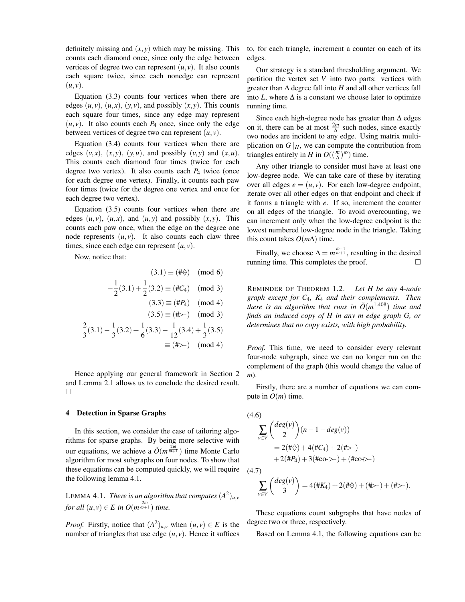definitely missing and  $(x, y)$  which may be missing. This counts each diamond once, since only the edge between vertices of degree two can represent  $(u, v)$ . It also counts each square twice, since each nonedge can represent  $(u, v)$ .

Equation (3.3) counts four vertices when there are edges  $(u, v)$ ,  $(u, x)$ ,  $(v, v)$ , and possibly  $(x, y)$ . This counts each square four times, since any edge may represent  $(u, v)$ . It also counts each  $P_4$  once, since only the edge between vertices of degree two can represent  $(u, v)$ .

Equation (3.4) counts four vertices when there are edges  $(v, x)$ ,  $(x, y)$ ,  $(y, u)$ , and possibly  $(v, y)$  and  $(x, u)$ . This counts each diamond four times (twice for each degree two vertex). It also counts each *P*<sup>4</sup> twice (once for each degree one vertex). Finally, it counts each paw four times (twice for the degree one vertex and once for each degree two vertex).

Equation (3.5) counts four vertices when there are edges  $(u, v)$ ,  $(u, x)$ , and  $(u, y)$  and possibly  $(x, y)$ . This counts each paw once, when the edge on the degree one node represents  $(u, v)$ . It also counts each claw three times, since each edge can represent (*u*, *v*).

Now, notice that:

$$
(3.1) \equiv (\#\varphi) \pmod{6}
$$

$$
-\frac{1}{2}(3.1) + \frac{1}{2}(3.2) \equiv (\#C_4) \pmod{3}
$$

$$
(3.3) \equiv (\#P_4) \pmod{4}
$$

$$
(3.5) \equiv (\#2) \pmod{3}
$$

$$
\frac{2}{3}(3.1) - \frac{1}{3}(3.2) + \frac{1}{6}(3.3) - \frac{1}{12}(3.4) + \frac{1}{3}(3.5) \n\equiv (\# \rangle) \pmod{4}
$$

Hence applying our general framework in Section 2 and Lemma 2.1 allows us to conclude the desired result.  $\Box$ 

## 4 Detection in Sparse Graphs

In this section, we consider the case of tailoring algorithms for sparse graphs. By being more selective with our equations, we achieve a  $\tilde{O}(m^{\frac{2\omega}{\omega+1}})$  time Monte Carlo algorithm for most subgraphs on four nodes. To show that these equations can be computed quickly, we will require the following lemma 4.1.

LEMMA 4.1. *There is an algorithm that computes*  $(A^2)_{u,v}$ *for all*  $(u, v) \in E$  *in*  $O(m^{\frac{2\omega}{\omega+1}})$  *time.* 

*Proof.* Firstly, notice that  $(A^2)_{u,v}$  when  $(u, v) \in E$  is the number of triangles that use edge  $(u, v)$ . Hence it suffices to, for each triangle, increment a counter on each of its edges.

Our strategy is a standard thresholding argument. We partition the vertex set *V* into two parts: vertices with greater than  $\Delta$  degree fall into  $H$  and all other vertices fall into *L*, where  $\Delta$  is a constant we choose later to optimize running time.

Since each high-degree node has greater than  $\Delta$  edges on it, there can be at most  $\frac{2m}{\Delta}$  such nodes, since exactly two nodes are incident to any edge. Using matrix multiplication on  $G|_H$ , we can compute the contribution from triangles entirely in *H* in  $O((\frac{m}{\Delta})^{\omega})$  time.

Any other triangle to consider must have at least one low-degree node. We can take care of these by iterating over all edges  $e = (u, v)$ . For each low-degree endpoint, iterate over all other edges on that endpoint and check if it forms a triangle with *e*. If so, increment the counter on all edges of the triangle. To avoid overcounting, we can increment only when the low-degree endpoint is the lowest numbered low-degree node in the triangle. Taking this count takes  $O(m\Delta)$  time.

Finally, we choose  $\Delta = m^{\frac{\omega-1}{\omega+1}}$ , resulting in the desired running time. This completes the proof.  $\Box$ 

REMINDER OF THEOREM 1.2. *Let H be any* 4*-node graph except for C*4*, K*<sup>4</sup> *and their complements. Then there is an algorithm that runs in*  $\tilde{O}(m^{1.408})$  *time and finds an induced copy of H in any m edge graph G, or determines that no copy exists, with high probability.*

*Proof.* This time, we need to consider every relevant four-node subgraph, since we can no longer run on the complement of the graph (this would change the value of *m*).

Firstly, there are a number of equations we can compute in  $O(m)$  time.

(4.6)  
\n
$$
\sum_{v \in V} {deg(v) \choose 2} (n - 1 - deg(v))
$$
\n
$$
= 2(\#\varphi) + 4(\#\mathcal{C}_4) + 2(\#\varphi)
$$
\n
$$
+ 2(\#\mathcal{P}_4) + 3(\#\text{co-}\varphi) + (\#\text{co-}\varphi)
$$
\n(4.7)

$$
\sum_{v \in V} \binom{deg(v)}{3} = 4(\#K_4) + 2(\#\varphi) + (\#\varphi) + (\#\varphi).
$$

These equations count subgraphs that have nodes of degree two or three, respectively.

Based on Lemma 4.1, the following equations can be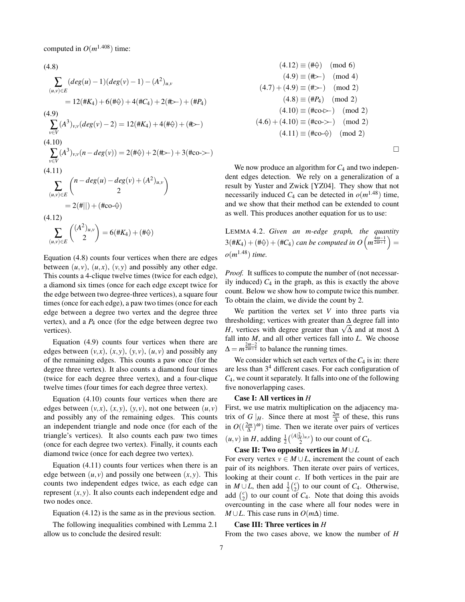computed in  $O(m^{1.408})$  time:

(4.8)  
\n
$$
\sum_{(u,v)\in E} (deg(u) - 1)(deg(v) - 1) - (A^2)_{u,v}
$$
\n
$$
= 12(\#K_4) + 6(\#\varphi) + 4(\#C_4) + 2(\#\varphi) + (\#P_4)
$$
\n(4.9)  
\n
$$
\sum_{v\in V} (A^3)_{v,v} (deg(v) - 2) = 12(\#K_4) + 4(\#\varphi) + (\#\varphi)
$$
\n(4.10)  
\n
$$
\sum_{v\in V} (A^3)_{v,v} (n - deg(v)) = 2(\#\varphi) + 2(\#\varphi) + 3(\#\cos \varphi)
$$
\n(4.11)  
\n
$$
\sum_{(u,v)\in E} {n - deg(u) - deg(v) + (A^2)_{u,v} \choose 2}
$$
\n
$$
= 2(\#\|) + (\#\cos \varphi)
$$
\n(4.12)  
\n
$$
\sum_{(u,v)\in E} ({A^2})_{u,v} = 6(\#K_4) + (\#\varphi)
$$

Equation (4.8) counts four vertices when there are edges between  $(u, v)$ ,  $(u, x)$ ,  $(v, y)$  and possibly any other edge. This counts a 4-clique twelve times (twice for each edge), a diamond six times (once for each edge except twice for the edge between two degree-three vertices), a square four times (once for each edge), a paw two times (once for each edge between a degree two vertex and the degree three vertex), and a *P*<sup>4</sup> once (for the edge between degree two vertices).

Equation (4.9) counts four vertices when there are edges between  $(v, x)$ ,  $(x, y)$ ,  $(v, v)$ ,  $(u, v)$  and possibly any of the remaining edges. This counts a paw once (for the degree three vertex). It also counts a diamond four times (twice for each degree three vertex), and a four-clique twelve times (four times for each degree three vertex).

Equation (4.10) counts four vertices when there are edges between  $(v, x)$ ,  $(x, y)$ ,  $(y, v)$ , not one between  $(u, v)$ and possibly any of the remaining edges. This counts an independent triangle and node once (for each of the triangle's vertices). It also counts each paw two times (once for each degree two vertex). Finally, it counts each diamond twice (once for each degree two vertex).

Equation (4.11) counts four vertices when there is an edge between  $(u, v)$  and possily one between  $(x, y)$ . This counts two independent edges twice, as each edge can represent  $(x, y)$ . It also counts each independent edge and two nodes once.

Equation (4.12) is the same as in the previous section.

The following inequalities combined with Lemma 2.1 allow us to conclude the desired result:

$$
(4.12) \equiv (\#\diamondsuit) \pmod{6}
$$
  
\n
$$
(4.9) \equiv (\#\succ) \pmod{4}
$$
  
\n
$$
(4.7) + (4.9) \equiv (\#\succ) \pmod{2}
$$
  
\n
$$
(4.8) \equiv (\#P_4) \pmod{2}
$$
  
\n
$$
(4.10) \equiv (\# \circ \circ \succ) \pmod{2}
$$
  
\n
$$
(4.6) + (4.10) \equiv (\# \circ \circ \succ) \pmod{2}
$$
  
\n
$$
(4.11) \equiv (\# \circ \circ \diamond) \pmod{2}
$$

 $\Box$ 

We now produce an algorithm for  $C_4$  and two independent edges detection. We rely on a generalization of a result by Yuster and Zwick [YZ04]. They show that not necessarily induced  $C_4$  can be detected in  $o(m^{1.48})$  time, and we show that their method can be extended to count as well. This produces another equation for us to use:

LEMMA 4.2. *Given an m-edge graph, the quantity*  $3(\#K_4) + (\#\Leftrightarrow) + (\#C_4)$  can be computed in  $O(n^{\frac{4\omega-1}{2\omega+1}}) =$ *o*(*m* <sup>1</sup>.48) *time.*

*Proof.* It suffices to compute the number of (not necessarily induced)  $C_4$  in the graph, as this is exactly the above count. Below we show how to compute twice this number. To obtain the claim, we divide the count by 2.

We partition the vertex set *V* into three parts via thresholding; vertices with greater than  $\Delta$  degree fall into thresholding; vertices with greater than  $\Delta$  degree rall into *H*, vertices with degree greater than  $\sqrt{\Delta}$  and at most  $\Delta$ fall into *M*, and all other vertices fall into *L*. We choose  $\Delta = m^{\frac{2\omega - 2}{2\omega + 1}}$  to balance the running times.

We consider which set each vertex of the  $C_4$  is in: there are less than  $3<sup>4</sup>$  different cases. For each configuration of *C*4, we count it separately. It falls into one of the following five nonoverlapping cases.

## Case I: All vertices in *H*

First, we use matrix multiplication on the adjacency matrix of *G* |*H*. Since there at most  $\frac{2m}{\Delta}$  of these, this runs in  $O((\frac{2m}{\Delta})^{\omega})$  time. Then we iterate over pairs of vertices  $(u, v)$  in *H*, adding  $\frac{1}{2} {(\binom{A|_H^2}{2}u,v)}$  to our count of *C*<sub>4</sub>.

Case II: Two opposite vertices in *M* ∪*L*

For every vertex  $v \in M \cup L$ , increment the count of each pair of its neighbors. Then iterate over pairs of vertices, looking at their count *c*. If both vertices in the pair are in *M* ∪ *L*, then add  $\frac{1}{2}$ ( $\frac{c}{2}$ ) to our count of *C*<sub>4</sub>. Otherwise, add  $\binom{c}{2}$  to our count of *C*<sub>4</sub>. Note that doing this avoids overcounting in the case where all four nodes were in *M* ∪*L*. This case runs in  $O(m\Delta)$  time.

#### Case III: Three vertices in *H*

From the two cases above, we know the number of *H*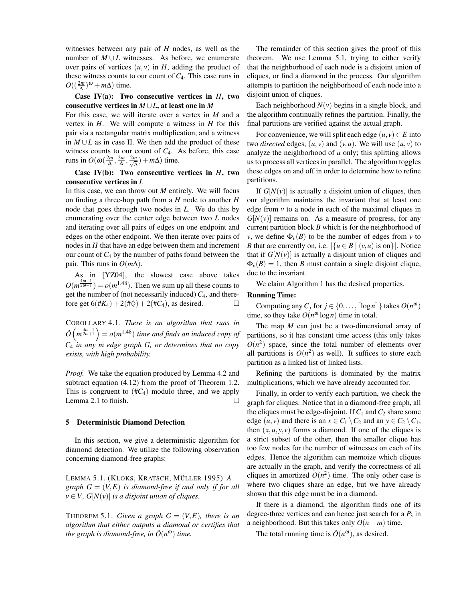witnesses between any pair of *H* nodes, as well as the number of  $M \cup L$  witnesses. As before, we enumerate over pairs of vertices  $(u, v)$  in  $H$ , adding the product of these witness counts to our count of *C*4. This case runs in  $O((\frac{2m}{\Delta})^{\omega} + m\Delta)$  time.

# Case IV(a): Two consecutive vertices in *H*, two consecutive vertices in *M* ∪*L*, at least one in *M*

For this case, we will iterate over a vertex in *M* and a vertex in *H*. We will compute a witness in *H* for this pair via a rectangular matrix multiplication, and a witness in *M* ∪*L* as in case II. We then add the product of these witness counts to our count of *C*4. As before, this case runs in  $O(\omega(\frac{2m}{\Delta}, \frac{2m}{\Delta}, \frac{2m}{\sqrt{\Delta}}$  $\frac{n}{\Delta}$ ) + *m* $\Delta$ ) time.

# Case IV(b): Two consecutive vertices in *H*, two consecutive vertices in *L*

In this case, we can throw out *M* entirely. We will focus on finding a three-hop path from a *H* node to another *H* node that goes through two nodes in *L*. We do this by enumerating over the center edge between two *L* nodes and iterating over all pairs of edges on one endpoint and edges on the other endpoint. We then iterate over pairs of nodes in *H* that have an edge between them and increment our count of  $C_4$  by the number of paths found between the pair. This runs in *O*(*m*∆).

As in [YZ04], the slowest case above takes  $O(m^{\frac{4\omega-1}{2\omega+1}}) = o(m^{1.48})$ . Then we sum up all these counts to get the number of (not necessarily induced) *C*4, and therefore get  $6(\#K_4) + 2(\# \diamondsuit) + 2(\# C_4)$ , as desired. □

COROLLARY 4.1. *There is an algorithm that runs in*  $\tilde{O}(m^{\frac{4\omega-1}{2\omega+1}}) = o(m^{1.48})$  *time and finds an induced copy of C*<sup>4</sup> *in any m edge graph G, or determines that no copy exists, with high probability.*

*Proof.* We take the equation produced by Lemma 4.2 and subtract equation (4.12) from the proof of Theorem 1.2. This is congruent to  $(HC_4)$  modulo three, and we apply Lemma 2.1 to finish.  $\Box$ 

## 5 Deterministic Diamond Detection

In this section, we give a deterministic algorithm for diamond detection. We utilize the following observation concerning diamond-free graphs:

LEMMA 5.1. (KLOKS, KRATSCH, MÜLLER 1995) *A graph*  $G = (V, E)$  *is diamond-free if and only if for all*  $v \in V$ ,  $G[N(v)]$  *is a disjoint union of cliques.* 

THEOREM 5.1. *Given a graph*  $G = (V, E)$ *, there is an algorithm that either outputs a diamond or certifies that the graph is diamond-free, in*  $\tilde{O}(n^{\omega})$  *time.* 

The remainder of this section gives the proof of this theorem. We use Lemma 5.1, trying to either verify that the neighborhood of each node is a disjoint union of cliques, or find a diamond in the process. Our algorithm attempts to partition the neighborhood of each node into a disjoint union of cliques.

Each neighborhood  $N(v)$  begins in a single block, and the algorithm continually refines the partition. Finally, the final partitions are verified against the actual graph.

For convenience, we will split each edge  $(u, v) \in E$  into two *directed* edges,  $(u, v)$  and  $(v, u)$ . We will use  $(u, v)$  to analyze the neighborhood of *u* only; this splitting allows us to process all vertices in parallel. The algorithm toggles these edges on and off in order to determine how to refine partitions.

If  $G[N(v)]$  is actually a disjoint union of cliques, then our algorithm maintains the invariant that at least one edge from  $v$  to a node in each of the maximal cliques in  $G[N(v)]$  remains on. As a measure of progress, for any current partition block *B* which is for the neighborhood of *v*, we define  $\Phi_{\nu}(B)$  to be the number of edges from *v* to *B* that are currently on, i.e.  $|\{u \in B \mid (v, u) \text{ is on}\}|$ . Notice that if  $G[N(v)]$  is actually a disjoint union of cliques and  $\Phi_{\nu}(B) = 1$ , then *B* must contain a single disjoint clique, due to the invariant.

We claim Algorithm 1 has the desired properties.

## Running Time:

Computing any  $C_j$  for  $j \in \{0, \ldots, \lceil \log n \rceil\}$  takes  $O(n^{\omega})$ time, so they take  $O(n^{\omega} \log n)$  time in total.

The map *M* can just be a two-dimensional array of partitions, so it has constant time access (this only takes  $O(n^2)$  space, since the total number of elements over all partitions is  $O(n^2)$  as well). It suffices to store each partition as a linked list of linked lists.

Refining the partitions is dominated by the matrix multiplications, which we have already accounted for.

Finally, in order to verify each partition, we check the graph for cliques. Notice that in a diamond-free graph, all the cliques must be edge-disjoint. If  $C_1$  and  $C_2$  share some edge  $(u, v)$  and there is an  $x \in C_1 \setminus C_2$  and an  $y \in C_2 \setminus C_1$ , then  $(x, u, y, v)$  forms a diamond. If one of the cliques is a strict subset of the other, then the smaller clique has too few nodes for the number of witnesses on each of its edges. Hence the algorithm can memoize which cliques are actually in the graph, and verify the correctness of all cliques in amortized  $O(n^2)$  time. The only other case is where two cliques share an edge, but we have already shown that this edge must be in a diamond.

If there is a diamond, the algorithm finds one of its degree-three vertices and can hence just search for a *P*<sup>3</sup> in a neighborhood. But this takes only  $O(n+m)$  time.

The total running time is  $\tilde{O}(n^{\omega})$ , as desired.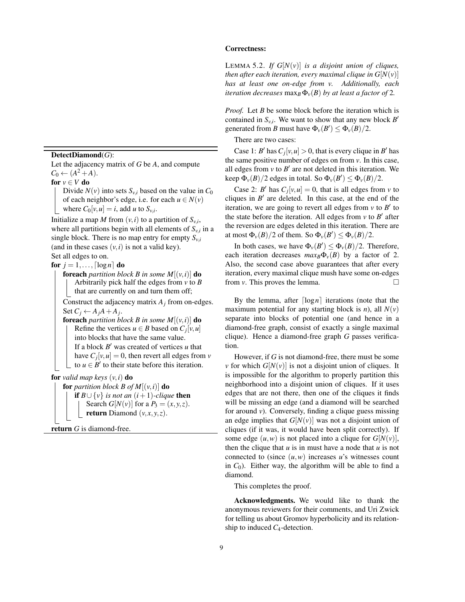DetectDiamond(*G*):

Let the adjacency matrix of *G* be *A*, and compute  $C_0 \leftarrow (A^2 + A).$ 

for  $v \in V$  do

Divide  $N(v)$  into sets  $S_{v,i}$  based on the value in  $C_0$ of each neighbor's edge, i.e. for each  $u \in N(v)$ where  $C_0[v, u] = i$ , add *u* to  $S_{v,i}$ .

Initialize a map *M* from  $(v, i)$  to a partition of  $S_{v,i}$ , where all partitions begin with all elements of  $S_{v,i}$  in a single block. There is no map entry for empty  $S_{v,i}$ (and in these cases  $(v, i)$  is not a valid key). Set all edges to on.

for  $j = 1, \ldots, \lceil \log n \rceil$  do

**foreach** *partition block B in some*  $M[(v,i)]$  **do** Arbitrarily pick half the edges from *v* to *B* that are currently on and turn them off;

Construct the adjacency matrix  $A_j$  from on-edges. Set  $C_j \leftarrow A_j A + A_j$ .

**foreach** *partition block B* in some  $M[(v,i)]$  **do** Refine the vertices  $u \in B$  based on  $C_j[v, u]$ into blocks that have the same value. If a block  $B'$  was created of vertices  $u$  that have  $C_j[v, u] = 0$ , then revert all edges from *v* to  $u \in B'$  to their state before this iteration.

**for** *valid map keys*  $(v, i)$  **do** 

**for** *partition block B of*  $M[(v,i)]$  **do if** *B*∪{*v*} *is not an*  $(i+1)$ *-clique* **then** Search  $G[N(v)]$  for a  $P_3 = (x, y, z)$ . return Diamond  $(v, x, y, z)$ .

return *G* is diamond-free.

# Correctness:

LEMMA 5.2. *If*  $G[N(v)]$  *is a disjoint union of cliques, then after each iteration, every maximal clique in*  $G[N(v)]$ *has at least one on-edge from v. Additionally, each iteration decreases* max<sub>*B*</sub> $\Phi$ <sub>*v*</sub> $(B)$  *by at least a factor of* 2*.* 

*Proof.* Let *B* be some block before the iteration which is contained in  $S_{v,i}$ . We want to show that any new block  $B'$ generated from *B* must have  $\Phi_{\nu}(B') \leq \Phi_{\nu}(B)/2$ .

There are two cases:

Case 1: *B*<sup> $\prime$ </sup> has  $C_j[v, u] > 0$ , that is every clique in *B*<sup> $\prime$ </sup> has the same positive number of edges on from *v*. In this case, all edges from  $v$  to  $B'$  are not deleted in this iteration. We keep  $\Phi_{\nu}(B)/2$  edges in total. So  $\Phi_{\nu}(B') \le \Phi_{\nu}(B)/2$ .

Case 2: *B*<sup> $\prime$ </sup> has  $C_j[v, u] = 0$ , that is all edges from *v* to cliques in  $B'$  are deleted. In this case, at the end of the iteration, we are going to revert all edges from  $v$  to  $B'$  to the state before the iteration. All edges from  $v$  to  $B'$  after the reversion are edges deleted in this iteration. There are at most  $\Phi_{\nu}(B)/2$  of them. So  $\Phi_{\nu}(B') \leq \Phi_{\nu}(B)/2$ .

In both cases, we have  $\Phi_{\nu}(B') \leq \Phi_{\nu}(B)/2$ . Therefore, each iteration decreases  $max_B \Phi_v(B)$  by a factor of 2. Also, the second case above guarantees that after every iteration, every maximal clique mush have some on-edges from *v*. This proves the lemma.

By the lemma, after  $\lceil \log n \rceil$  iterations (note that the maximum potential for any starting block is *n*), all  $N(v)$ separate into blocks of potential one (and hence in a diamond-free graph, consist of exactly a single maximal clique). Hence a diamond-free graph *G* passes verification.

However, if *G* is not diamond-free, there must be some *v* for which  $G[N(v)]$  is not a disjoint union of cliques. It is impossible for the algorithm to properly partition this neighborhood into a disjoint union of cliques. If it uses edges that are not there, then one of the cliques it finds will be missing an edge (and a diamond will be searched for around  $v$ ). Conversely, finding a clique guess missing an edge implies that  $G[N(v)]$  was not a disjoint union of cliques (if it was, it would have been split correctly). If some edge  $(u, w)$  is not placed into a clique for  $G[N(v)]$ , then the clique that  $u$  is in must have a node that  $u$  is not connected to (since  $(u, w)$  increases *u*'s witnesses count in  $C_0$ ). Either way, the algorithm will be able to find a diamond.

This completes the proof.

Acknowledgments. We would like to thank the anonymous reviewers for their comments, and Uri Zwick for telling us about Gromov hyperbolicity and its relationship to induced *C*4-detection.